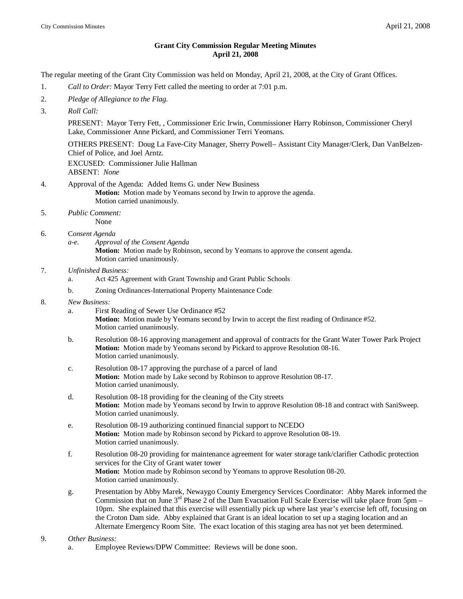## **Grant City Commission Regular Meeting Minutes April 21, 2008**

The regular meeting of the Grant City Commission was held on Monday, April 21, 2008, at the City of Grant Offices.

- 1. *Call to Order:* Mayor Terry Fett called the meeting to order at 7:01 p.m.
- 2. *Pledge of Allegiance to the Flag.*
- 3. *Roll Call:*

PRESENT: Mayor Terry Fett, , Commissioner Eric Irwin, Commissioner Harry Robinson, Commissioner Cheryl Lake, Commissioner Anne Pickard, and Commissioner Terri Yeomans.

OTHERS PRESENT: Doug La Fave-City Manager, Sherry Powell– Assistant City Manager/Clerk, Dan VanBelzen-Chief of Police, and Joel Arntz.

EXCUSED: Commissioner Julie Hallman ABSENT: *None*

- 4. Approval of the Agenda: Added Items G. under New Business **Motion:** Motion made by Yeomans second by Irwin to approve the agenda. Motion carried unanimously.
- 5. *Public Comment:* None
- 6. C*onsent Agenda*
	- *a-e. Approval of the Consent Agenda* **Motion:** Motion made by Robinson, second by Yeomans to approve the consent agenda. Motion carried unanimously.

## 7. *Unfinished Business:*

- a. Act 425 Agreement with Grant Township and Grant Public Schools:
- b. Zoning Ordinances-International Property Maintenance Code:
- 8. *New Business:*
	- a. First Reading of Sewer Use Ordinance #52 **Motion:** Motion made by Yeomans second by Irwin to accept the first reading of Ordinance #52. Motion carried unanimously.
	- b. Resolution 08-16 approving management and approval of contracts for the Grant Water Tower Park Project **Motion:** Motion made by Yeomans second by Pickard to approve Resolution 08-16. Motion carried unanimously.
	- c. Resolution 08-17 approving the purchase of a parcel of land **Motion:** Motion made by Lake second by Robinson to approve Resolution 08-17. Motion carried unanimously.
	- d. Resolution 08-18 providing for the cleaning of the City streets **Motion:** Motion made by Yeomans second by Irwin to approve Resolution 08-18 and contract with SaniSweep. Motion carried unanimously.
	- e. Resolution 08-19 authorizing continued financial support to NCEDO **Motion:** Motion made by Robinson second by Pickard to approve Resolution 08-19. Motion carried unanimously.
	- f. Resolution 08-20 providing for maintenance agreement for water storage tank/clarifier Cathodic protection services for the City of Grant water tower **Motion:** Motion made by Robinson second by Yeomans to approve Resolution 08-20. Motion carried unanimously.
	- g. Presentation by Abby Marek, Newaygo County Emergency Services Coordinator: Abby Marek informed the Commission that on June  $3<sup>rd</sup>$  Phase 2 of the Dam Evacuation Full Scale Exercise will take place from 5pm – 10pm. She explained that this exercise will essentially pick up where last year's exercise left off, focusing on the Croton Dam side. Abby explained that Grant is an ideal location to set up a staging location and an Alternate Emergency Room Site. The exact location of this staging area has not yet been determined.

## 9. *Other Business:*

a. Employee Reviews/DPW Committee: Reviews will be done soon.